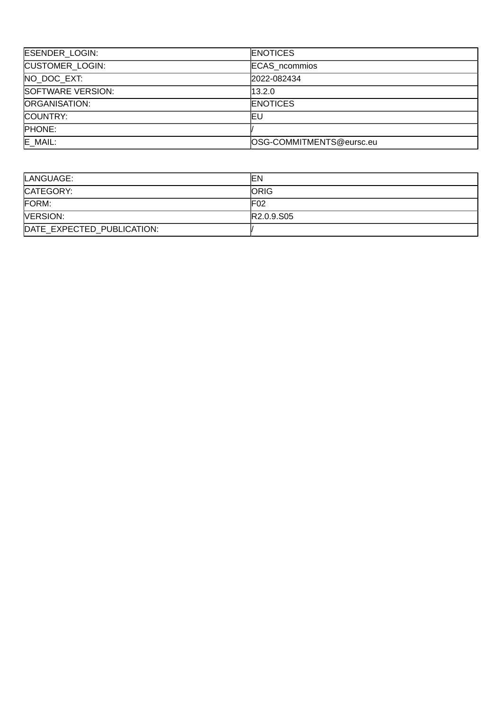| <b>ESENDER LOGIN:</b>  | <b>ENOTICES</b>          |
|------------------------|--------------------------|
| <b>CUSTOMER LOGIN:</b> | <b>ECAS</b> ncommios     |
| NO DOC EXT:            | 2022-082434              |
| SOFTWARE VERSION:      | 13.2.0                   |
| ORGANISATION:          | <b>ENOTICES</b>          |
| COUNTRY:               | ΙEυ                      |
| <b>PHONE:</b>          |                          |
| $E$ MAIL:              | OSG-COMMITMENTS@eursc.eu |

| LANGUAGE:                  | lΕN                                 |
|----------------------------|-------------------------------------|
| CATEGORY:                  | <b>IORIG</b>                        |
| FORM:                      | IF02                                |
| <b>VERSION:</b>            | R <sub>2.0.9</sub> .S <sub>05</sub> |
| DATE EXPECTED PUBLICATION: |                                     |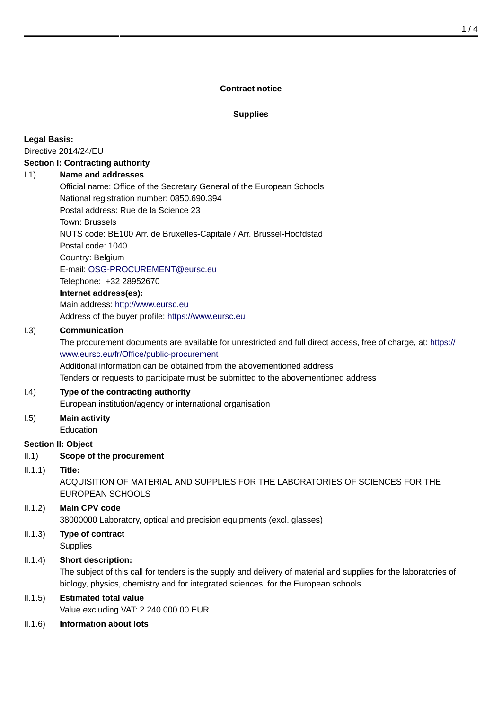#### **Contract notice**

## **Supplies**

**Legal Basis:**

Directive 2014/24/EU

# **Section I: Contracting authority**

#### I.1) **Name and addresses**

Official name: Office of the Secretary General of the European Schools National registration number: 0850.690.394 Postal address: Rue de la Science 23 Town: Brussels NUTS code: BE100 Arr. de Bruxelles-Capitale / Arr. Brussel-Hoofdstad Postal code: 1040 Country: Belgium E-mail: [OSG-PROCUREMENT@eursc.eu](mailto:OSG-PROCUREMENT@eursc.eu) Telephone: +32 28952670 **Internet address(es):**

# Main address:<http://www.eursc.eu> Address of the buyer profile: <https://www.eursc.eu>

### I.3) **Communication**

The procurement documents are available for unrestricted and full direct access, free of charge, at: [https://](https://www.eursc.eu/fr/Office/public-procurement) [www.eursc.eu/fr/Office/public-procurement](https://www.eursc.eu/fr/Office/public-procurement)

Additional information can be obtained from the abovementioned address

Tenders or requests to participate must be submitted to the abovementioned address

# I.4) **Type of the contracting authority**

European institution/agency or international organisation

I.5) **Main activity** Education

# **Section II: Object**

II.1) **Scope of the procurement**

#### II.1.1) **Title:**

ACQUISITION OF MATERIAL AND SUPPLIES FOR THE LABORATORIES OF SCIENCES FOR THE EUROPEAN SCHOOLS

# II.1.2) **Main CPV code**

38000000 Laboratory, optical and precision equipments (excl. glasses)

II.1.3) **Type of contract Supplies** 

# II.1.4) **Short description:**

The subject of this call for tenders is the supply and delivery of material and supplies for the laboratories of biology, physics, chemistry and for integrated sciences, for the European schools.

#### II.1.5) **Estimated total value**

Value excluding VAT: 2 240 000.00 EUR

II.1.6) **Information about lots**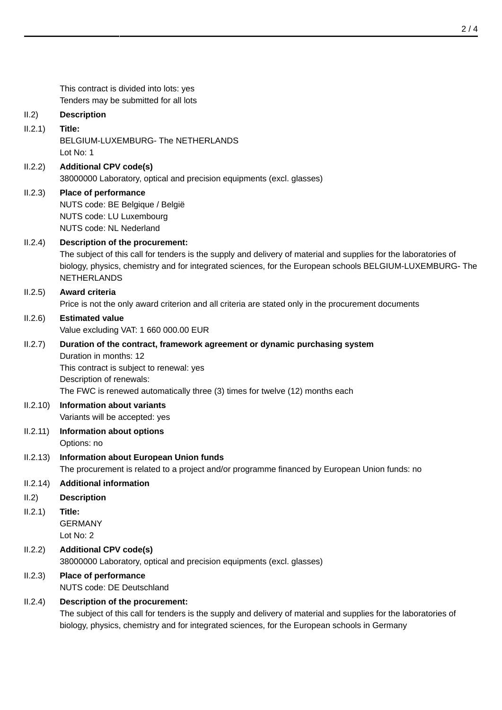This contract is divided into lots: yes Tenders may be submitted for all lots II.2) **Description** II.2.1) **Title:** BELGIUM-LUXEMBURG- The NETHERLANDS Lot No: 1 II.2.2) **Additional CPV code(s)** 38000000 Laboratory, optical and precision equipments (excl. glasses) II.2.3) **Place of performance** NUTS code: BE Belgique / België NUTS code: LU Luxembourg NUTS code: NL Nederland II.2.4) **Description of the procurement:** The subject of this call for tenders is the supply and delivery of material and supplies for the laboratories of biology, physics, chemistry and for integrated sciences, for the European schools BELGIUM-LUXEMBURG- The NETHERLANDS II.2.5) **Award criteria** Price is not the only award criterion and all criteria are stated only in the procurement documents II.2.6) **Estimated value** Value excluding VAT: 1 660 000.00 EUR II.2.7) **Duration of the contract, framework agreement or dynamic purchasing system** Duration in months: 12 This contract is subject to renewal: yes Description of renewals: The FWC is renewed automatically three (3) times for twelve (12) months each II.2.10) **Information about variants** Variants will be accepted: yes II.2.11) **Information about options** Options: no II.2.13) **Information about European Union funds** The procurement is related to a project and/or programme financed by European Union funds: no II.2.14) **Additional information** II.2) **Description** II.2.1) **Title:** GERMANY Lot No: 2 II.2.2) **Additional CPV code(s)** 38000000 Laboratory, optical and precision equipments (excl. glasses) II.2.3) **Place of performance** NUTS code: DE Deutschland II.2.4) **Description of the procurement:** The subject of this call for tenders is the supply and delivery of material and supplies for the laboratories of biology, physics, chemistry and for integrated sciences, for the European schools in Germany

2 / 4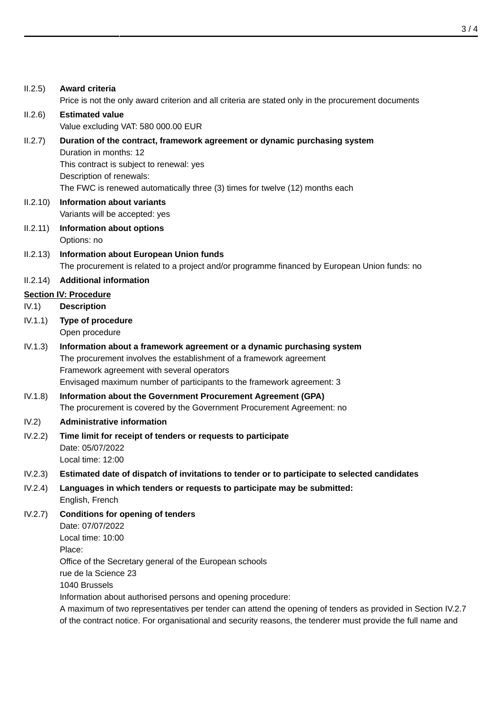| II.2.5)  | Award criteria<br>Price is not the only award criterion and all criteria are stated only in the procurement documents                                                                                                                                                 |
|----------|-----------------------------------------------------------------------------------------------------------------------------------------------------------------------------------------------------------------------------------------------------------------------|
| II.2.6)  | <b>Estimated value</b><br>Value excluding VAT: 580 000.00 EUR                                                                                                                                                                                                         |
| II.2.7)  | Duration of the contract, framework agreement or dynamic purchasing system<br>Duration in months: 12                                                                                                                                                                  |
|          | This contract is subject to renewal: yes<br>Description of renewals:<br>The FWC is renewed automatically three (3) times for twelve (12) months each                                                                                                                  |
| II.2.10) | <b>Information about variants</b><br>Variants will be accepted: yes                                                                                                                                                                                                   |
| II.2.11) | <b>Information about options</b><br>Options: no                                                                                                                                                                                                                       |
| II.2.13) | Information about European Union funds<br>The procurement is related to a project and/or programme financed by European Union funds: no                                                                                                                               |
| II.2.14) | <b>Additional information</b>                                                                                                                                                                                                                                         |
|          | <b>Section IV: Procedure</b>                                                                                                                                                                                                                                          |
| IV.1)    | <b>Description</b>                                                                                                                                                                                                                                                    |
| IV.1.1)  | <b>Type of procedure</b><br>Open procedure                                                                                                                                                                                                                            |
| IV.1.3)  | Information about a framework agreement or a dynamic purchasing system<br>The procurement involves the establishment of a framework agreement<br>Framework agreement with several operators<br>Envisaged maximum number of participants to the framework agreement: 3 |
| IV.1.8)  | Information about the Government Procurement Agreement (GPA)<br>The procurement is covered by the Government Procurement Agreement: no                                                                                                                                |
| IV.2)    | Administrative information                                                                                                                                                                                                                                            |
| IV.2.2)  | Time limit for receipt of tenders or requests to participate<br>Date: 05/07/2022<br>Local time: 12:00                                                                                                                                                                 |
| IV.2.3)  | Estimated date of dispatch of invitations to tender or to participate to selected candidates                                                                                                                                                                          |
| IV.2.4)  | Languages in which tenders or requests to participate may be submitted:<br>English, French                                                                                                                                                                            |
| IV.2.7)  | <b>Conditions for opening of tenders</b><br>Date: 07/07/2022<br>Local time: 10:00<br>Place:<br>Office of the Secretary general of the European schools<br>rue de la Science 23<br>1040 Brussels<br>Information about authorised persons and opening procedure:        |
|          | A maximum of two representatives per tender can attend the opening of tenders as provided in Section IV.2.7<br>of the contract notice. For organisational and security reasons, the tenderer must provide the full name and                                           |